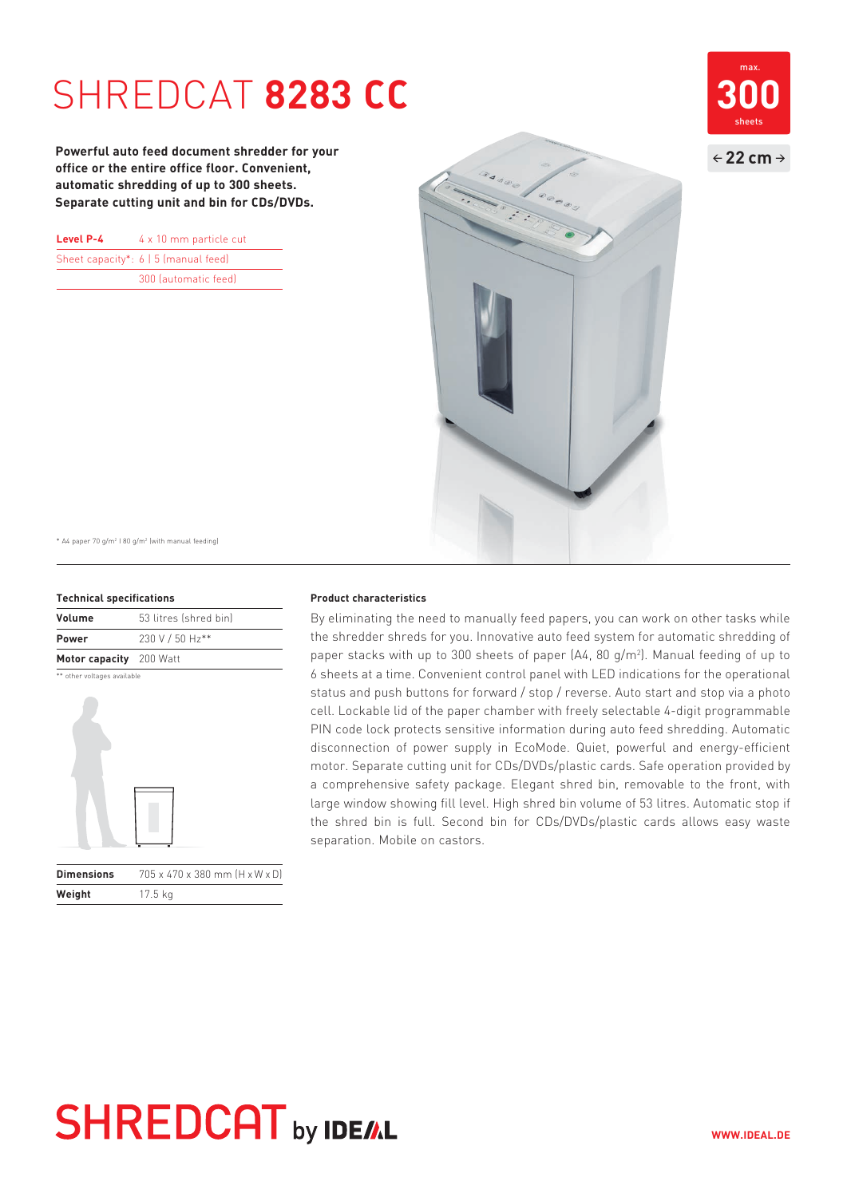## **SHREDCAT 8283 CC**

**Powerful auto feed document shredder for your office or the entire office floor. Convenient, automatic shredding of up to 300 sheets. Separate cutting unit and bin for CDs/DVDs.**

| Level P-4 | 4 x 10 mm particle cut                    |
|-----------|-------------------------------------------|
|           | Sheet capacity*: $6 \mid 5$ (manual feed) |
|           | 300 (automatic feed)                      |



\* A4 paper 70 g/m2 I 80 g/m2 (with manual feeding)

### **Technical specifications**

| Volume                  | 53 litres (shred bin) |
|-------------------------|-----------------------|
| <b>Power</b>            | 230 V / 50 Hz**       |
| Motor capacity 200 Watt |                       |

\*\* other voltages available



| <b>Dimensions</b> | 705 x 470 x 380 mm [H x W x D] |
|-------------------|--------------------------------|
| Weight            | $17.5$ kg                      |

#### **Product characteristics**

By eliminating the need to manually feed papers, you can work on other tasks while the shredder shreds for you. Innovative auto feed system for automatic shredding of paper stacks with up to 300 sheets of paper  $(A4, 80 \text{ g/m}^2)$ . Manual feeding of up to 6 sheets at a time. Convenient control panel with LED indications for the operational status and push buttons for forward / stop / reverse. Auto start and stop via a photo cell. Lockable lid of the paper chamber with freely selectable 4-digit programmable PIN code lock protects sensitive information during auto feed shredding. Automatic disconnection of power supply in EcoMode. Quiet, powerful and energy-efficient motor. Separate cutting unit for CDs/DVDs/plastic cards. Safe operation provided by a comprehensive safety package. Elegant shred bin, removable to the front, with large window showing fill level. High shred bin volume of 53 litres. Automatic stop if the shred bin is full. Second bin for CDs/DVDs/plastic cards allows easy waste separation. Mobile on castors.

## **SHREDCAT** by IDEAL